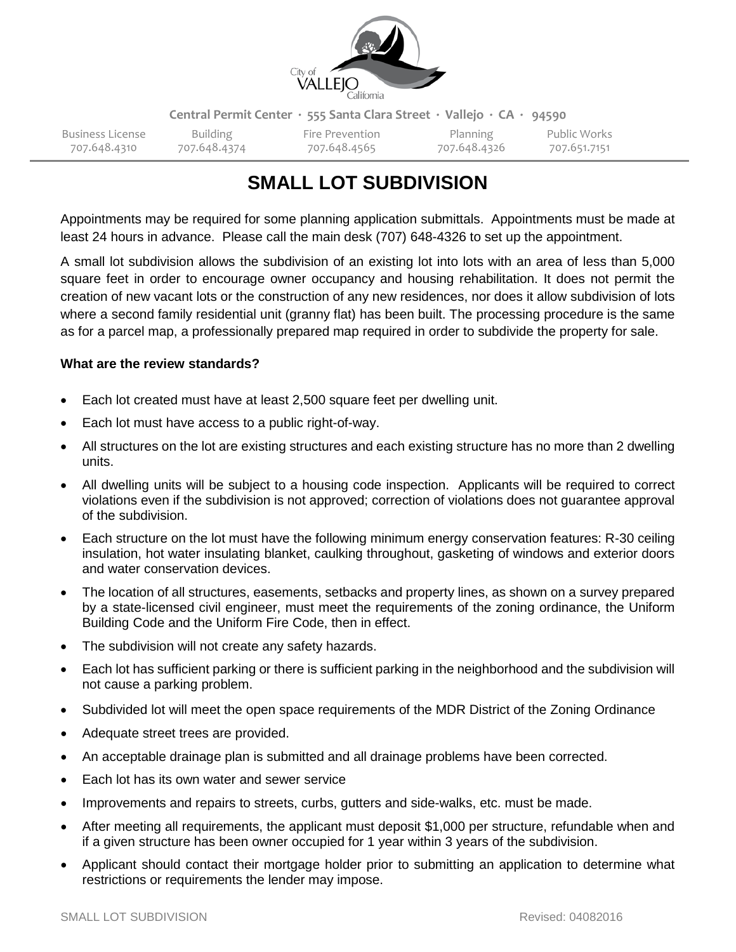

**Central Permit Center ∙ 555 Santa Clara Street ∙ Vallejo ∙ CA ∙ 94590**

707.648.4310 707.648.4374 707.648.4565 707.648.4326 707.651.7151

Business License Building Fire Prevention Planning Public Works

# **SMALL LOT SUBDIVISION**

Appointments may be required for some planning application submittals. Appointments must be made at least 24 hours in advance. Please call the main desk (707) 648-4326 to set up the appointment.

A small lot subdivision allows the subdivision of an existing lot into lots with an area of less than 5,000 square feet in order to encourage owner occupancy and housing rehabilitation. It does not permit the creation of new vacant lots or the construction of any new residences, nor does it allow subdivision of lots where a second family residential unit (granny flat) has been built. The processing procedure is the same as for a parcel map, a professionally prepared map required in order to subdivide the property for sale.

# **What are the review standards?**

- Each lot created must have at least 2,500 square feet per dwelling unit.
- Each lot must have access to a public right-of-way.
- All structures on the lot are existing structures and each existing structure has no more than 2 dwelling units.
- All dwelling units will be subject to a housing code inspection. Applicants will be required to correct violations even if the subdivision is not approved; correction of violations does not guarantee approval of the subdivision.
- Each structure on the lot must have the following minimum energy conservation features: R-30 ceiling insulation, hot water insulating blanket, caulking throughout, gasketing of windows and exterior doors and water conservation devices.
- The location of all structures, easements, setbacks and property lines, as shown on a survey prepared by a state-licensed civil engineer, must meet the requirements of the zoning ordinance, the Uniform Building Code and the Uniform Fire Code, then in effect.
- The subdivision will not create any safety hazards.
- Each lot has sufficient parking or there is sufficient parking in the neighborhood and the subdivision will not cause a parking problem.
- Subdivided lot will meet the open space requirements of the MDR District of the Zoning Ordinance
- Adequate street trees are provided.
- An acceptable drainage plan is submitted and all drainage problems have been corrected.
- Each lot has its own water and sewer service
- Improvements and repairs to streets, curbs, gutters and side-walks, etc. must be made.
- After meeting all requirements, the applicant must deposit \$1,000 per structure, refundable when and if a given structure has been owner occupied for 1 year within 3 years of the subdivision.
- Applicant should contact their mortgage holder prior to submitting an application to determine what restrictions or requirements the lender may impose.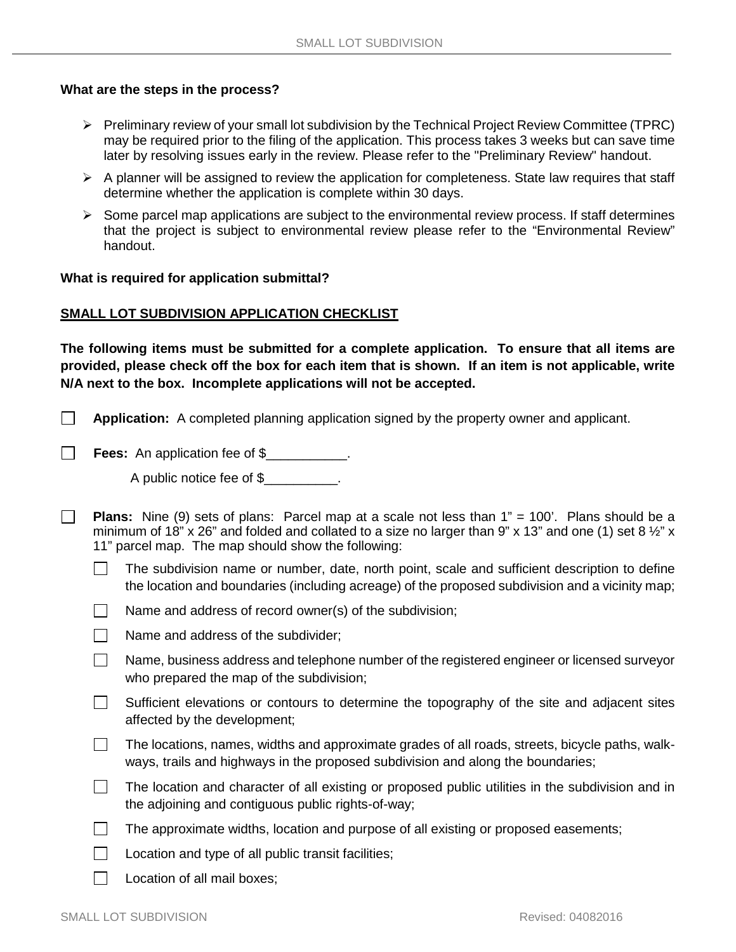#### **What are the steps in the process?**

- Preliminary review of your small lot subdivision by the Technical Project Review Committee (TPRC) may be required prior to the filing of the application. This process takes 3 weeks but can save time later by resolving issues early in the review. Please refer to the "Preliminary Review" handout.
- $\triangleright$  A planner will be assigned to review the application for completeness. State law requires that staff determine whether the application is complete within 30 days.
- $\triangleright$  Some parcel map applications are subject to the environmental review process. If staff determines that the project is subject to environmental review please refer to the "Environmental Review" handout.

#### **What is required for application submittal?**

#### **SMALL LOT SUBDIVISION APPLICATION CHECKLIST**

**The following items must be submitted for a complete application. To ensure that all items are provided, please check off the box for each item that is shown. If an item is not applicable, write N/A next to the box. Incomplete applications will not be accepted.** 

 $\Box$ **Application:** A completed planning application signed by the property owner and applicant.

**Fees:** An application fee of \$

 $\Box$ 

 $\Box$ 

A public notice fee of \$\_\_\_\_\_\_\_\_\_\_\_.

**Plans:** Nine (9) sets of plans: Parcel map at a scale not less than 1" = 100'. Plans should be a minimum of 18" x 26" and folded and collated to a size no larger than 9" x 13" and one (1) set 8  $\frac{1}{2}$ " x 11" parcel map. The map should show the following:

- The subdivision name or number, date, north point, scale and sufficient description to define the location and boundaries (including acreage) of the proposed subdivision and a vicinity map;
- $\sim$ Name and address of record owner(s) of the subdivision;
- Name and address of the subdivider;  $\Box$
- $\Box$ Name, business address and telephone number of the registered engineer or licensed surveyor who prepared the map of the subdivision;
- $\Box$ Sufficient elevations or contours to determine the topography of the site and adjacent sites affected by the development;
- $\Box$ The locations, names, widths and approximate grades of all roads, streets, bicycle paths, walkways, trails and highways in the proposed subdivision and along the boundaries;
- $\Box$ The location and character of all existing or proposed public utilities in the subdivision and in the adjoining and contiguous public rights-of-way;
- $\Box$ The approximate widths, location and purpose of all existing or proposed easements;
- $\Box$ Location and type of all public transit facilities;
	- Location of all mail boxes;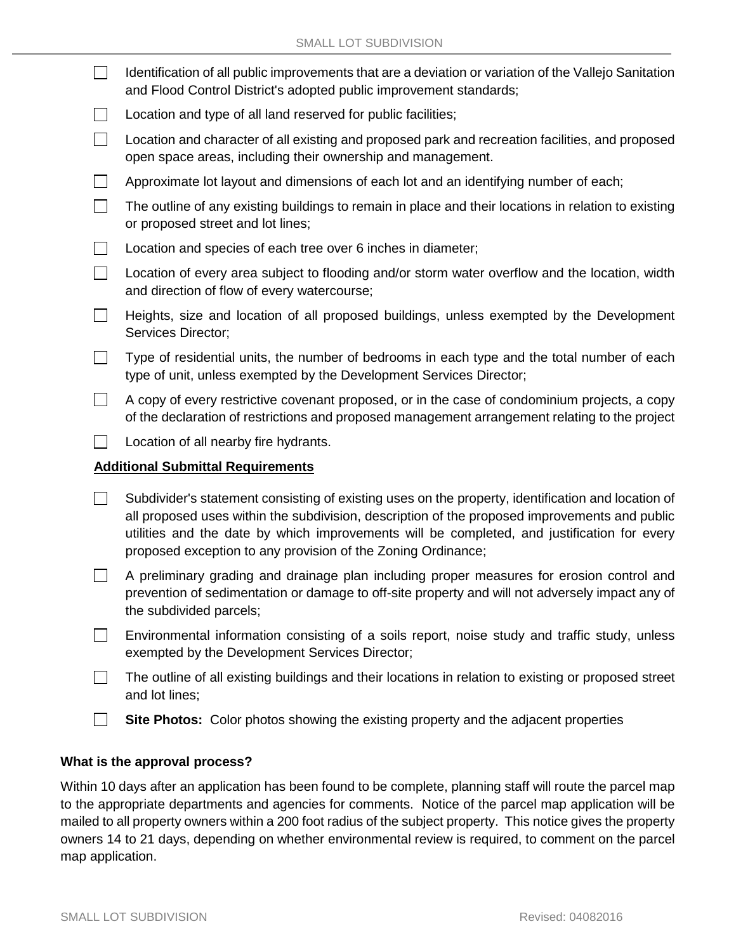|                                          | Identification of all public improvements that are a deviation or variation of the Vallejo Sanitation<br>and Flood Control District's adopted public improvement standards;                                                                                                                                                                                        |
|------------------------------------------|--------------------------------------------------------------------------------------------------------------------------------------------------------------------------------------------------------------------------------------------------------------------------------------------------------------------------------------------------------------------|
|                                          | Location and type of all land reserved for public facilities;                                                                                                                                                                                                                                                                                                      |
| $\Box$                                   | Location and character of all existing and proposed park and recreation facilities, and proposed<br>open space areas, including their ownership and management.                                                                                                                                                                                                    |
|                                          | Approximate lot layout and dimensions of each lot and an identifying number of each;                                                                                                                                                                                                                                                                               |
| $\sim$                                   | The outline of any existing buildings to remain in place and their locations in relation to existing<br>or proposed street and lot lines;                                                                                                                                                                                                                          |
|                                          | Location and species of each tree over 6 inches in diameter;                                                                                                                                                                                                                                                                                                       |
|                                          | Location of every area subject to flooding and/or storm water overflow and the location, width<br>and direction of flow of every watercourse;                                                                                                                                                                                                                      |
|                                          | Heights, size and location of all proposed buildings, unless exempted by the Development<br>Services Director;                                                                                                                                                                                                                                                     |
|                                          | Type of residential units, the number of bedrooms in each type and the total number of each<br>type of unit, unless exempted by the Development Services Director;                                                                                                                                                                                                 |
| $\blacksquare$                           | A copy of every restrictive covenant proposed, or in the case of condominium projects, a copy<br>of the declaration of restrictions and proposed management arrangement relating to the project                                                                                                                                                                    |
|                                          | Location of all nearby fire hydrants.                                                                                                                                                                                                                                                                                                                              |
| <b>Additional Submittal Requirements</b> |                                                                                                                                                                                                                                                                                                                                                                    |
|                                          | Subdivider's statement consisting of existing uses on the property, identification and location of<br>all proposed uses within the subdivision, description of the proposed improvements and public<br>utilities and the date by which improvements will be completed, and justification for every<br>proposed exception to any provision of the Zoning Ordinance; |
|                                          | A preliminary grading and drainage plan including proper measures for erosion control and<br>prevention of sedimentation or damage to off-site property and will not adversely impact any of<br>the subdivided parcels;                                                                                                                                            |
|                                          | Environmental information consisting of a soils report, noise study and traffic study, unless<br>exempted by the Development Services Director;                                                                                                                                                                                                                    |
|                                          | The outline of all existing buildings and their locations in relation to existing or proposed street<br>and lot lines;                                                                                                                                                                                                                                             |
|                                          | Site Photos: Color photos showing the existing property and the adjacent properties                                                                                                                                                                                                                                                                                |

## **What is the approval process?**

Within 10 days after an application has been found to be complete, planning staff will route the parcel map to the appropriate departments and agencies for comments. Notice of the parcel map application will be mailed to all property owners within a 200 foot radius of the subject property. This notice gives the property owners 14 to 21 days, depending on whether environmental review is required, to comment on the parcel map application.